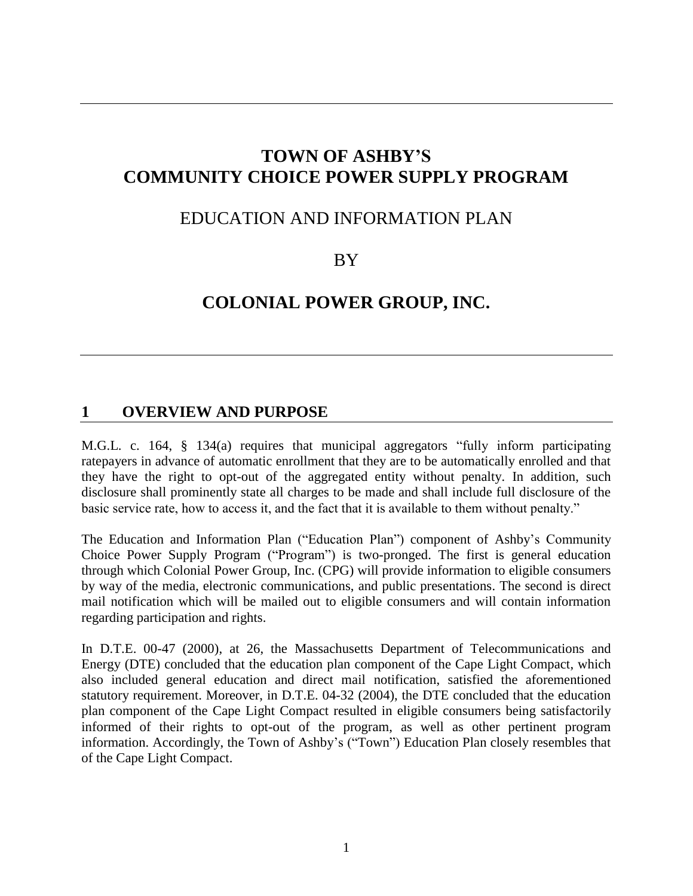# **TOWN OF ASHBY'S COMMUNITY CHOICE POWER SUPPLY PROGRAM**

## EDUCATION AND INFORMATION PLAN

BY

## **COLONIAL POWER GROUP, INC.**

### **1 OVERVIEW AND PURPOSE**

M.G.L. c. 164, § 134(a) requires that municipal aggregators "fully inform participating ratepayers in advance of automatic enrollment that they are to be automatically enrolled and that they have the right to opt-out of the aggregated entity without penalty. In addition, such disclosure shall prominently state all charges to be made and shall include full disclosure of the basic service rate, how to access it, and the fact that it is available to them without penalty."

The Education and Information Plan ("Education Plan") component of Ashby's Community Choice Power Supply Program ("Program") is two-pronged. The first is general education through which Colonial Power Group, Inc. (CPG) will provide information to eligible consumers by way of the media, electronic communications, and public presentations. The second is direct mail notification which will be mailed out to eligible consumers and will contain information regarding participation and rights.

In D.T.E. 00-47 (2000), at 26, the Massachusetts Department of Telecommunications and Energy (DTE) concluded that the education plan component of the Cape Light Compact, which also included general education and direct mail notification, satisfied the aforementioned statutory requirement. Moreover, in D.T.E. 04-32 (2004), the DTE concluded that the education plan component of the Cape Light Compact resulted in eligible consumers being satisfactorily informed of their rights to opt-out of the program, as well as other pertinent program information. Accordingly, the Town of Ashby's ("Town") Education Plan closely resembles that of the Cape Light Compact.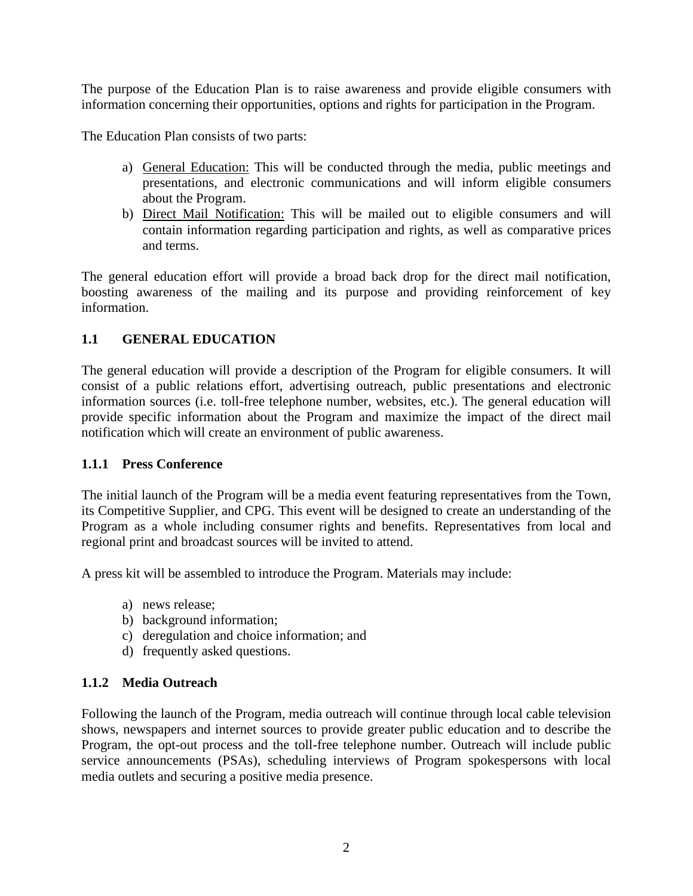The purpose of the Education Plan is to raise awareness and provide eligible consumers with information concerning their opportunities, options and rights for participation in the Program.

The Education Plan consists of two parts:

- a) General Education: This will be conducted through the media, public meetings and presentations, and electronic communications and will inform eligible consumers about the Program.
- b) Direct Mail Notification: This will be mailed out to eligible consumers and will contain information regarding participation and rights, as well as comparative prices and terms.

The general education effort will provide a broad back drop for the direct mail notification, boosting awareness of the mailing and its purpose and providing reinforcement of key information.

#### **1.1 GENERAL EDUCATION**

The general education will provide a description of the Program for eligible consumers. It will consist of a public relations effort, advertising outreach, public presentations and electronic information sources (i.e. toll-free telephone number, websites, etc.). The general education will provide specific information about the Program and maximize the impact of the direct mail notification which will create an environment of public awareness.

#### **1.1.1 Press Conference**

The initial launch of the Program will be a media event featuring representatives from the Town, its Competitive Supplier, and CPG. This event will be designed to create an understanding of the Program as a whole including consumer rights and benefits. Representatives from local and regional print and broadcast sources will be invited to attend.

A press kit will be assembled to introduce the Program. Materials may include:

- a) news release;
- b) background information;
- c) deregulation and choice information; and
- d) frequently asked questions.

#### **1.1.2 Media Outreach**

Following the launch of the Program, media outreach will continue through local cable television shows, newspapers and internet sources to provide greater public education and to describe the Program, the opt-out process and the toll-free telephone number. Outreach will include public service announcements (PSAs), scheduling interviews of Program spokespersons with local media outlets and securing a positive media presence.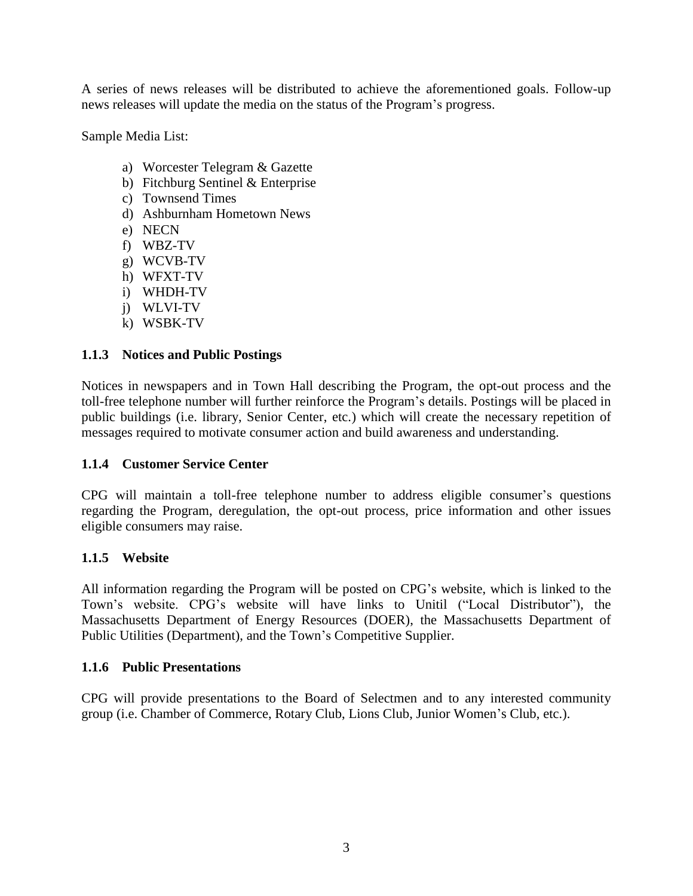A series of news releases will be distributed to achieve the aforementioned goals. Follow-up news releases will update the media on the status of the Program's progress.

Sample Media List:

- a) Worcester Telegram & Gazette
- b) Fitchburg Sentinel & Enterprise
- c) Townsend Times
- d) Ashburnham Hometown News
- e) NECN
- f) WBZ-TV
- g) WCVB-TV
- h) WFXT-TV
- i) WHDH-TV
- j) WLVI-TV
- k) WSBK-TV

#### **1.1.3 Notices and Public Postings**

Notices in newspapers and in Town Hall describing the Program, the opt-out process and the toll-free telephone number will further reinforce the Program's details. Postings will be placed in public buildings (i.e. library, Senior Center, etc.) which will create the necessary repetition of messages required to motivate consumer action and build awareness and understanding.

#### **1.1.4 Customer Service Center**

CPG will maintain a toll-free telephone number to address eligible consumer's questions regarding the Program, deregulation, the opt-out process, price information and other issues eligible consumers may raise.

#### **1.1.5 Website**

All information regarding the Program will be posted on CPG's website, which is linked to the Town's website. CPG's website will have links to Unitil ("Local Distributor"), the Massachusetts Department of Energy Resources (DOER), the Massachusetts Department of Public Utilities (Department), and the Town's Competitive Supplier.

#### **1.1.6 Public Presentations**

CPG will provide presentations to the Board of Selectmen and to any interested community group (i.e. Chamber of Commerce, Rotary Club, Lions Club, Junior Women's Club, etc.).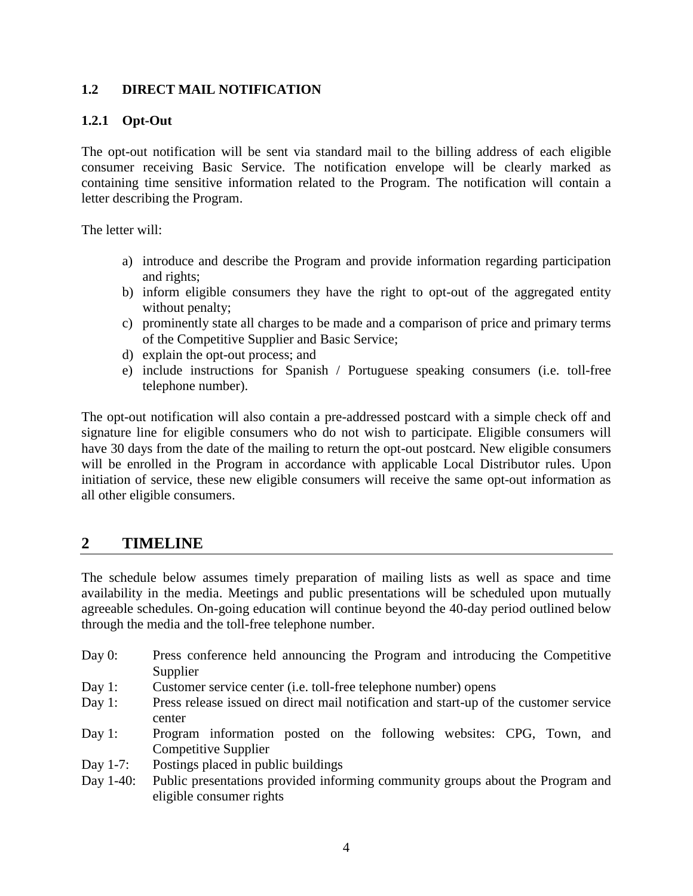#### **1.2 DIRECT MAIL NOTIFICATION**

#### **1.2.1 Opt-Out**

The opt-out notification will be sent via standard mail to the billing address of each eligible consumer receiving Basic Service. The notification envelope will be clearly marked as containing time sensitive information related to the Program. The notification will contain a letter describing the Program.

The letter will:

- a) introduce and describe the Program and provide information regarding participation and rights;
- b) inform eligible consumers they have the right to opt-out of the aggregated entity without penalty;
- c) prominently state all charges to be made and a comparison of price and primary terms of the Competitive Supplier and Basic Service;
- d) explain the opt-out process; and
- e) include instructions for Spanish / Portuguese speaking consumers (i.e. toll-free telephone number).

The opt-out notification will also contain a pre-addressed postcard with a simple check off and signature line for eligible consumers who do not wish to participate. Eligible consumers will have 30 days from the date of the mailing to return the opt-out postcard. New eligible consumers will be enrolled in the Program in accordance with applicable Local Distributor rules. Upon initiation of service, these new eligible consumers will receive the same opt-out information as all other eligible consumers.

## **2 TIMELINE**

The schedule below assumes timely preparation of mailing lists as well as space and time availability in the media. Meetings and public presentations will be scheduled upon mutually agreeable schedules. On-going education will continue beyond the 40-day period outlined below through the media and the toll-free telephone number.

- Day 0: Press conference held announcing the Program and introducing the Competitive Supplier
- Day 1: Customer service center (i.e. toll-free telephone number) opens
- Day 1: Press release issued on direct mail notification and start-up of the customer service center
- Day 1: Program information posted on the following websites: CPG, Town, and Competitive Supplier
- Day 1-7: Postings placed in public buildings
- Day 1-40: Public presentations provided informing community groups about the Program and eligible consumer rights